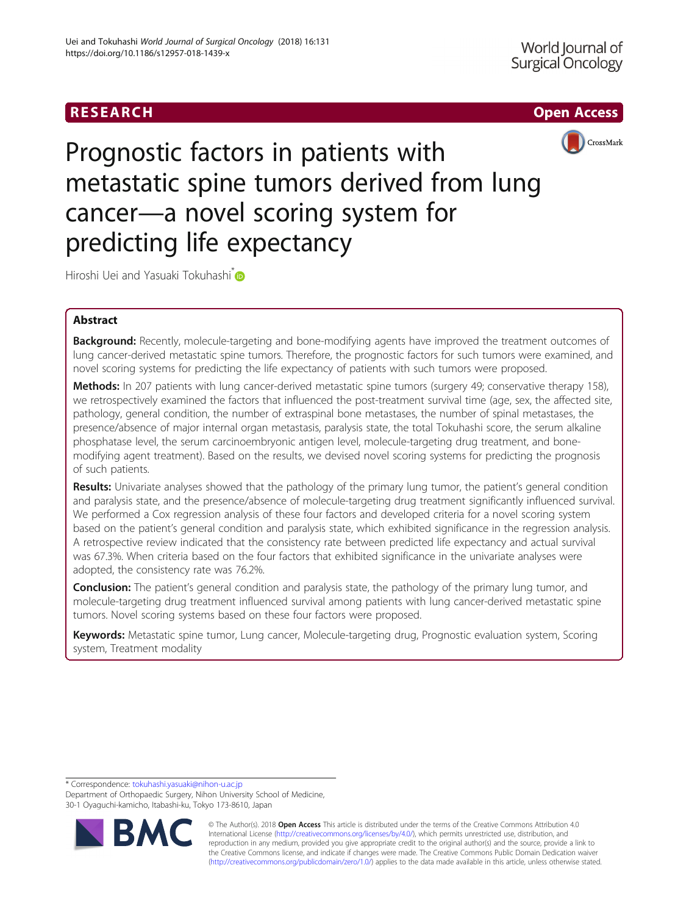# RESEARCH **RESEARCH CHOOSE ACCESS**



Prognostic factors in patients with metastatic spine tumors derived from lung cancer—a novel scoring system for predicting life expectancy

Hiroshi Uei and Yasuaki Tokuhashi<sup>\*</sup>

# Abstract

Background: Recently, molecule-targeting and bone-modifying agents have improved the treatment outcomes of lung cancer-derived metastatic spine tumors. Therefore, the prognostic factors for such tumors were examined, and novel scoring systems for predicting the life expectancy of patients with such tumors were proposed.

Methods: In 207 patients with lung cancer-derived metastatic spine tumors (surgery 49; conservative therapy 158), we retrospectively examined the factors that influenced the post-treatment survival time (age, sex, the affected site, pathology, general condition, the number of extraspinal bone metastases, the number of spinal metastases, the presence/absence of major internal organ metastasis, paralysis state, the total Tokuhashi score, the serum alkaline phosphatase level, the serum carcinoembryonic antigen level, molecule-targeting drug treatment, and bonemodifying agent treatment). Based on the results, we devised novel scoring systems for predicting the prognosis of such patients.

Results: Univariate analyses showed that the pathology of the primary lung tumor, the patient's general condition and paralysis state, and the presence/absence of molecule-targeting drug treatment significantly influenced survival. We performed a Cox regression analysis of these four factors and developed criteria for a novel scoring system based on the patient's general condition and paralysis state, which exhibited significance in the regression analysis. A retrospective review indicated that the consistency rate between predicted life expectancy and actual survival was 67.3%. When criteria based on the four factors that exhibited significance in the univariate analyses were adopted, the consistency rate was 76.2%.

**Conclusion:** The patient's general condition and paralysis state, the pathology of the primary lung tumor, and molecule-targeting drug treatment influenced survival among patients with lung cancer-derived metastatic spine tumors. Novel scoring systems based on these four factors were proposed.

Keywords: Metastatic spine tumor, Lung cancer, Molecule-targeting drug, Prognostic evaluation system, Scoring system, Treatment modality

\* Correspondence: [tokuhashi.yasuaki@nihon-u.ac.jp](mailto:tokuhashi.yasuaki@nihon-u.ac.jp)

Department of Orthopaedic Surgery, Nihon University School of Medicine, 30-1 Oyaguchi-kamicho, Itabashi-ku, Tokyo 173-8610, Japan



© The Author(s). 2018 Open Access This article is distributed under the terms of the Creative Commons Attribution 4.0 International License [\(http://creativecommons.org/licenses/by/4.0/](http://creativecommons.org/licenses/by/4.0/)), which permits unrestricted use, distribution, and reproduction in any medium, provided you give appropriate credit to the original author(s) and the source, provide a link to the Creative Commons license, and indicate if changes were made. The Creative Commons Public Domain Dedication waiver [\(http://creativecommons.org/publicdomain/zero/1.0/](http://creativecommons.org/publicdomain/zero/1.0/)) applies to the data made available in this article, unless otherwise stated.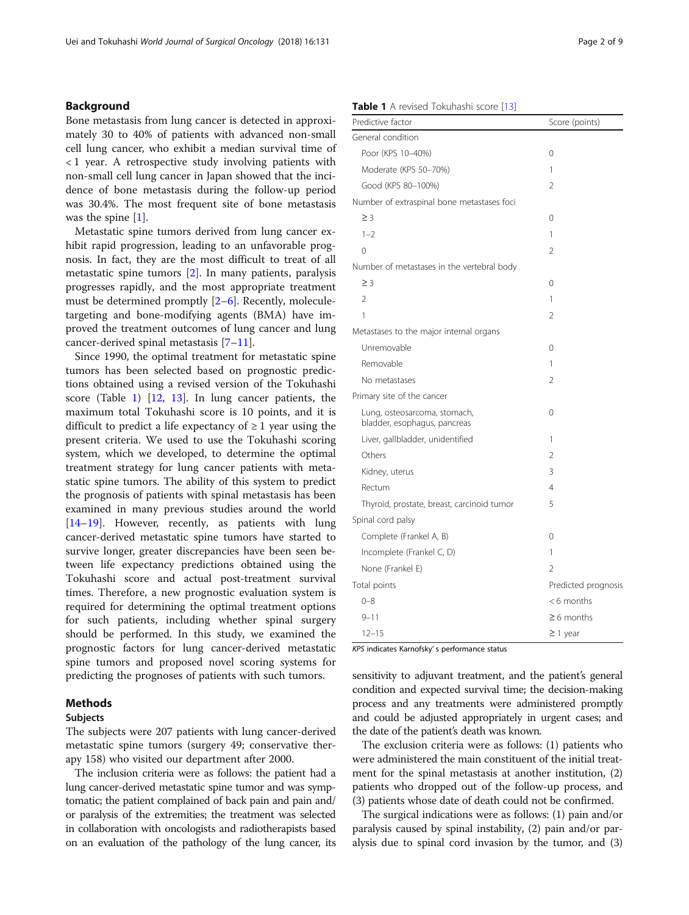#### <span id="page-1-0"></span>Background

Bone metastasis from lung cancer is detected in approximately 30 to 40% of patients with advanced non-small cell lung cancer, who exhibit a median survival time of < 1 year. A retrospective study involving patients with non-small cell lung cancer in Japan showed that the incidence of bone metastasis during the follow-up period was 30.4%. The most frequent site of bone metastasis was the spine [\[1\]](#page-7-0).

Metastatic spine tumors derived from lung cancer exhibit rapid progression, leading to an unfavorable prognosis. In fact, they are the most difficult to treat of all metastatic spine tumors [\[2\]](#page-7-0). In many patients, paralysis progresses rapidly, and the most appropriate treatment must be determined promptly [[2](#page-7-0)–[6\]](#page-7-0). Recently, moleculetargeting and bone-modifying agents (BMA) have improved the treatment outcomes of lung cancer and lung cancer-derived spinal metastasis [\[7](#page-7-0)–[11](#page-7-0)].

Since 1990, the optimal treatment for metastatic spine tumors has been selected based on prognostic predictions obtained using a revised version of the Tokuhashi score (Table 1) [[12](#page-7-0), [13\]](#page-7-0). In lung cancer patients, the maximum total Tokuhashi score is 10 points, and it is difficult to predict a life expectancy of  $\geq 1$  year using the present criteria. We used to use the Tokuhashi scoring system, which we developed, to determine the optimal treatment strategy for lung cancer patients with metastatic spine tumors. The ability of this system to predict the prognosis of patients with spinal metastasis has been examined in many previous studies around the world [[14](#page-7-0)–[19](#page-8-0)]. However, recently, as patients with lung cancer-derived metastatic spine tumors have started to survive longer, greater discrepancies have been seen between life expectancy predictions obtained using the Tokuhashi score and actual post-treatment survival times. Therefore, a new prognostic evaluation system is required for determining the optimal treatment options for such patients, including whether spinal surgery should be performed. In this study, we examined the prognostic factors for lung cancer-derived metastatic spine tumors and proposed novel scoring systems for predicting the prognoses of patients with such tumors.

#### Methods

### Subjects

The subjects were 207 patients with lung cancer-derived metastatic spine tumors (surgery 49; conservative therapy 158) who visited our department after 2000.

The inclusion criteria were as follows: the patient had a lung cancer-derived metastatic spine tumor and was symptomatic; the patient complained of back pain and pain and/ or paralysis of the extremities; the treatment was selected in collaboration with oncologists and radiotherapists based on an evaluation of the pathology of the lung cancer, its

#### Table 1 A revised Tokuhashi score [[13](#page-7-0)]

| Predictive factor                                            | Score (points)      |
|--------------------------------------------------------------|---------------------|
| General condition                                            |                     |
| Poor (KPS 10-40%)                                            | 0                   |
| Moderate (KPS 50-70%)                                        | 1                   |
| Good (KPS 80-100%)                                           | $\mathfrak{D}$      |
| Number of extraspinal bone metastases foci                   |                     |
| $\geq$ 3                                                     | 0                   |
| $1 - 2$                                                      | 1                   |
| $\Omega$                                                     | 2                   |
| Number of metastases in the vertebral body                   |                     |
| $\geq$ 3                                                     | $\Omega$            |
| $\mathfrak{D}$                                               | 1                   |
| 1                                                            | 2                   |
| Metastases to the major internal organs                      |                     |
| Unremovable                                                  | 0                   |
| Removable                                                    | 1                   |
| No metastases                                                | 2                   |
| Primary site of the cancer                                   |                     |
| Lung, osteosarcoma, stomach,<br>bladder, esophagus, pancreas | 0                   |
| Liver, gallbladder, unidentified                             | 1                   |
| Others                                                       | $\mathfrak{D}$      |
| Kidney, uterus                                               | 3                   |
| Rectum                                                       | 4                   |
| Thyroid, prostate, breast, carcinoid tumor                   | 5                   |
| Spinal cord palsy                                            |                     |
| Complete (Frankel A, B)                                      | 0                   |
| Incomplete (Frankel C, D)                                    | 1                   |
| None (Frankel E)                                             | $\mathfrak{D}$      |
| Total points                                                 | Predicted prognosis |
| $0 - 8$                                                      | $<$ 6 months        |
| $9 - 11$                                                     | $\geq 6$ months     |
| $12 - 15$                                                    | $\geq$ 1 year       |

KPS indicates Karnofsky' s performance status

sensitivity to adjuvant treatment, and the patient's general condition and expected survival time; the decision-making process and any treatments were administered promptly and could be adjusted appropriately in urgent cases; and the date of the patient's death was known.

The exclusion criteria were as follows: (1) patients who were administered the main constituent of the initial treatment for the spinal metastasis at another institution, (2) patients who dropped out of the follow-up process, and (3) patients whose date of death could not be confirmed.

The surgical indications were as follows: (1) pain and/or paralysis caused by spinal instability, (2) pain and/or paralysis due to spinal cord invasion by the tumor, and (3)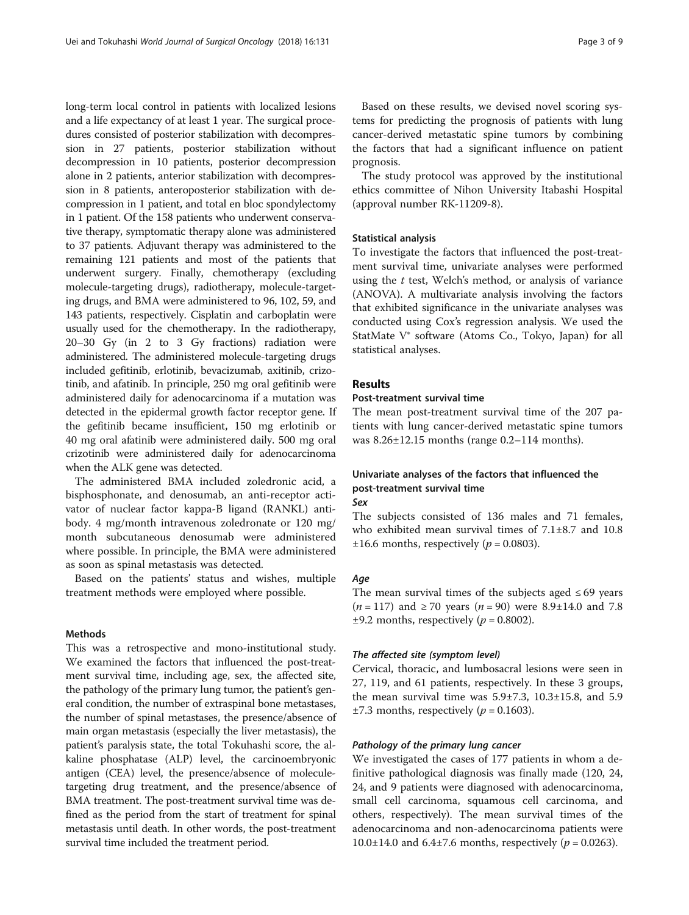long-term local control in patients with localized lesions and a life expectancy of at least 1 year. The surgical procedures consisted of posterior stabilization with decompression in 27 patients, posterior stabilization without decompression in 10 patients, posterior decompression alone in 2 patients, anterior stabilization with decompression in 8 patients, anteroposterior stabilization with decompression in 1 patient, and total en bloc spondylectomy in 1 patient. Of the 158 patients who underwent conservative therapy, symptomatic therapy alone was administered to 37 patients. Adjuvant therapy was administered to the remaining 121 patients and most of the patients that underwent surgery. Finally, chemotherapy (excluding molecule-targeting drugs), radiotherapy, molecule-targeting drugs, and BMA were administered to 96, 102, 59, and 143 patients, respectively. Cisplatin and carboplatin were usually used for the chemotherapy. In the radiotherapy, 20–30 Gy (in 2 to 3 Gy fractions) radiation were administered. The administered molecule-targeting drugs included gefitinib, erlotinib, bevacizumab, axitinib, crizotinib, and afatinib. In principle, 250 mg oral gefitinib were administered daily for adenocarcinoma if a mutation was detected in the epidermal growth factor receptor gene. If the gefitinib became insufficient, 150 mg erlotinib or 40 mg oral afatinib were administered daily. 500 mg oral crizotinib were administered daily for adenocarcinoma when the ALK gene was detected.

The administered BMA included zoledronic acid, a bisphosphonate, and denosumab, an anti-receptor activator of nuclear factor kappa-B ligand (RANKL) antibody. 4 mg/month intravenous zoledronate or 120 mg/ month subcutaneous denosumab were administered where possible. In principle, the BMA were administered as soon as spinal metastasis was detected.

Based on the patients' status and wishes, multiple treatment methods were employed where possible.

#### Methods

This was a retrospective and mono-institutional study. We examined the factors that influenced the post-treatment survival time, including age, sex, the affected site, the pathology of the primary lung tumor, the patient's general condition, the number of extraspinal bone metastases, the number of spinal metastases, the presence/absence of main organ metastasis (especially the liver metastasis), the patient's paralysis state, the total Tokuhashi score, the alkaline phosphatase (ALP) level, the carcinoembryonic antigen (CEA) level, the presence/absence of moleculetargeting drug treatment, and the presence/absence of BMA treatment. The post-treatment survival time was defined as the period from the start of treatment for spinal metastasis until death. In other words, the post-treatment survival time included the treatment period.

Based on these results, we devised novel scoring systems for predicting the prognosis of patients with lung cancer-derived metastatic spine tumors by combining the factors that had a significant influence on patient prognosis.

The study protocol was approved by the institutional ethics committee of Nihon University Itabashi Hospital (approval number RK-11209-8).

#### Statistical analysis

To investigate the factors that influenced the post-treatment survival time, univariate analyses were performed using the  $t$  test, Welch's method, or analysis of variance (ANOVA). A multivariate analysis involving the factors that exhibited significance in the univariate analyses was conducted using Cox's regression analysis. We used the StatMate V® software (Atoms Co., Tokyo, Japan) for all statistical analyses.

#### Results

#### Post-treatment survival time

The mean post-treatment survival time of the 207 patients with lung cancer-derived metastatic spine tumors was 8.26±12.15 months (range 0.2–114 months).

# Univariate analyses of the factors that influenced the post-treatment survival time

Sex

The subjects consisted of 136 males and 71 females, who exhibited mean survival times of 7.1±8.7 and 10.8  $\pm 16.6$  months, respectively ( $p = 0.0803$ ).

## Age

The mean survival times of the subjects aged  $\leq 69$  years  $(n = 117)$  and  $\ge 70$  years  $(n = 90)$  were 8.9±14.0 and 7.8  $\pm$ 9.2 months, respectively (*p* = 0.8002).

#### The affected site (symptom level)

Cervical, thoracic, and lumbosacral lesions were seen in 27, 119, and 61 patients, respectively. In these 3 groups, the mean survival time was  $5.9\pm7.3$ ,  $10.3\pm15.8$ , and  $5.9$  $\pm$ 7.3 months, respectively (*p* = 0.1603).

#### Pathology of the primary lung cancer

We investigated the cases of 177 patients in whom a definitive pathological diagnosis was finally made (120, 24, 24, and 9 patients were diagnosed with adenocarcinoma, small cell carcinoma, squamous cell carcinoma, and others, respectively). The mean survival times of the adenocarcinoma and non-adenocarcinoma patients were 10.0 $\pm$ 14.0 and 6.4 $\pm$ 7.6 months, respectively ( $p = 0.0263$ ).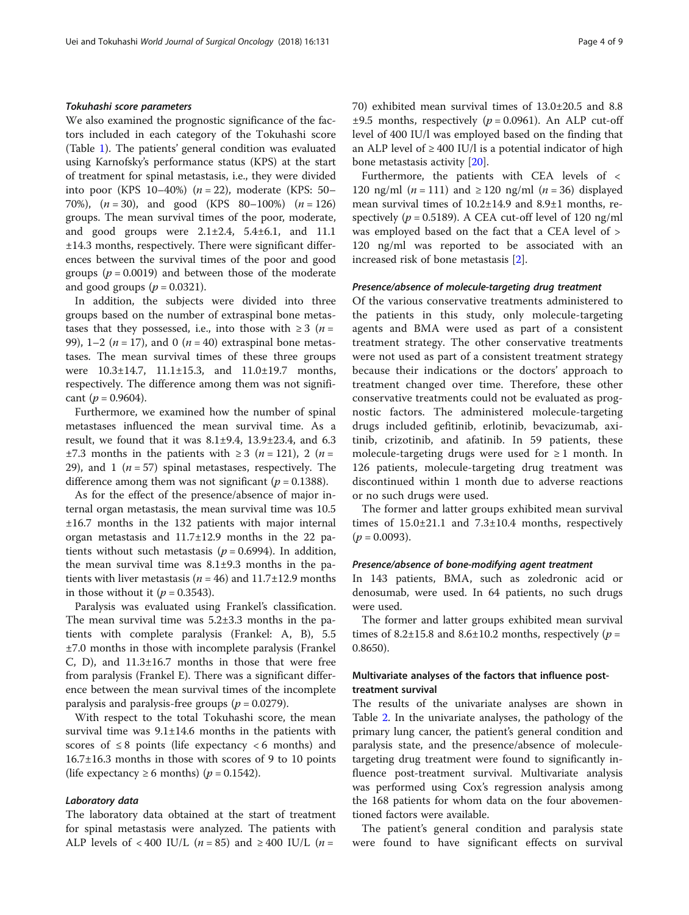### Tokuhashi score parameters

We also examined the prognostic significance of the factors included in each category of the Tokuhashi score (Table [1\)](#page-1-0). The patients' general condition was evaluated using Karnofsky's performance status (KPS) at the start of treatment for spinal metastasis, i.e., they were divided into poor (KPS 10–40%) ( $n = 22$ ), moderate (KPS: 50– 70%),  $(n = 30)$ , and good (KPS 80–100%)  $(n = 126)$ groups. The mean survival times of the poor, moderate, and good groups were 2.1±2.4, 5.4±6.1, and 11.1 ±14.3 months, respectively. There were significant differences between the survival times of the poor and good groups ( $p = 0.0019$ ) and between those of the moderate and good groups ( $p = 0.0321$ ).

In addition, the subjects were divided into three groups based on the number of extraspinal bone metastases that they possessed, i.e., into those with  $\geq 3$  (*n* = 99), 1–2 ( $n = 17$ ), and 0 ( $n = 40$ ) extraspinal bone metastases. The mean survival times of these three groups were 10.3±14.7, 11.1±15.3, and 11.0±19.7 months, respectively. The difference among them was not significant ( $p = 0.9604$ ).

Furthermore, we examined how the number of spinal metastases influenced the mean survival time. As a result, we found that it was 8.1±9.4, 13.9±23.4, and 6.3  $\pm 7.3$  months in the patients with  $\geq 3$  (*n* = 121), 2 (*n* = 29), and 1 ( $n = 57$ ) spinal metastases, respectively. The difference among them was not significant ( $p = 0.1388$ ).

As for the effect of the presence/absence of major internal organ metastasis, the mean survival time was 10.5 ±16.7 months in the 132 patients with major internal organ metastasis and 11.7±12.9 months in the 22 patients without such metastasis ( $p = 0.6994$ ). In addition, the mean survival time was 8.1±9.3 months in the patients with liver metastasis ( $n = 46$ ) and 11.7 $\pm$ 12.9 months in those without it ( $p = 0.3543$ ).

Paralysis was evaluated using Frankel's classification. The mean survival time was 5.2±3.3 months in the patients with complete paralysis (Frankel: A, B), 5.5 ±7.0 months in those with incomplete paralysis (Frankel C, D), and 11.3±16.7 months in those that were free from paralysis (Frankel E). There was a significant difference between the mean survival times of the incomplete paralysis and paralysis-free groups ( $p = 0.0279$ ).

With respect to the total Tokuhashi score, the mean survival time was  $9.1 \pm 14.6$  months in the patients with scores of  $\leq 8$  points (life expectancy  $\lt 6$  months) and 16.7±16.3 months in those with scores of 9 to 10 points (life expectancy  $\geq 6$  months) ( $p = 0.1542$ ).

#### Laboratory data

The laboratory data obtained at the start of treatment for spinal metastasis were analyzed. The patients with ALP levels of <400 IU/L ( $n = 85$ ) and  $\geq 400$  IU/L ( $n =$ 

70) exhibited mean survival times of 13.0±20.5 and 8.8  $\pm 9.5$  months, respectively ( $p = 0.0961$ ). An ALP cut-off level of 400 IU/l was employed based on the finding that an ALP level of  $\geq 400$  IU/l is a potential indicator of high bone metastasis activity [[20\]](#page-8-0).

Furthermore, the patients with CEA levels of < 120 ng/ml  $(n = 111)$  and  $\geq 120$  ng/ml  $(n = 36)$  displayed mean survival times of 10.2±14.9 and 8.9±1 months, respectively ( $p = 0.5189$ ). A CEA cut-off level of 120 ng/ml was employed based on the fact that a CEA level of > 120 ng/ml was reported to be associated with an increased risk of bone metastasis [[2\]](#page-7-0).

#### Presence/absence of molecule-targeting drug treatment

Of the various conservative treatments administered to the patients in this study, only molecule-targeting agents and BMA were used as part of a consistent treatment strategy. The other conservative treatments were not used as part of a consistent treatment strategy because their indications or the doctors' approach to treatment changed over time. Therefore, these other conservative treatments could not be evaluated as prognostic factors. The administered molecule-targeting drugs included gefitinib, erlotinib, bevacizumab, axitinib, crizotinib, and afatinib. In 59 patients, these molecule-targeting drugs were used for  $\geq 1$  month. In 126 patients, molecule-targeting drug treatment was discontinued within 1 month due to adverse reactions or no such drugs were used.

The former and latter groups exhibited mean survival times of 15.0±21.1 and 7.3±10.4 months, respectively  $(p = 0.0093)$ .

#### Presence/absence of bone-modifying agent treatment

In 143 patients, BMA, such as zoledronic acid or denosumab, were used. In 64 patients, no such drugs were used.

The former and latter groups exhibited mean survival times of 8.2 $\pm$ 15.8 and 8.6 $\pm$ 10.2 months, respectively (*p* = 0.8650).

# Multivariate analyses of the factors that influence posttreatment survival

The results of the univariate analyses are shown in Table [2](#page-4-0). In the univariate analyses, the pathology of the primary lung cancer, the patient's general condition and paralysis state, and the presence/absence of moleculetargeting drug treatment were found to significantly influence post-treatment survival. Multivariate analysis was performed using Cox's regression analysis among the 168 patients for whom data on the four abovementioned factors were available.

The patient's general condition and paralysis state were found to have significant effects on survival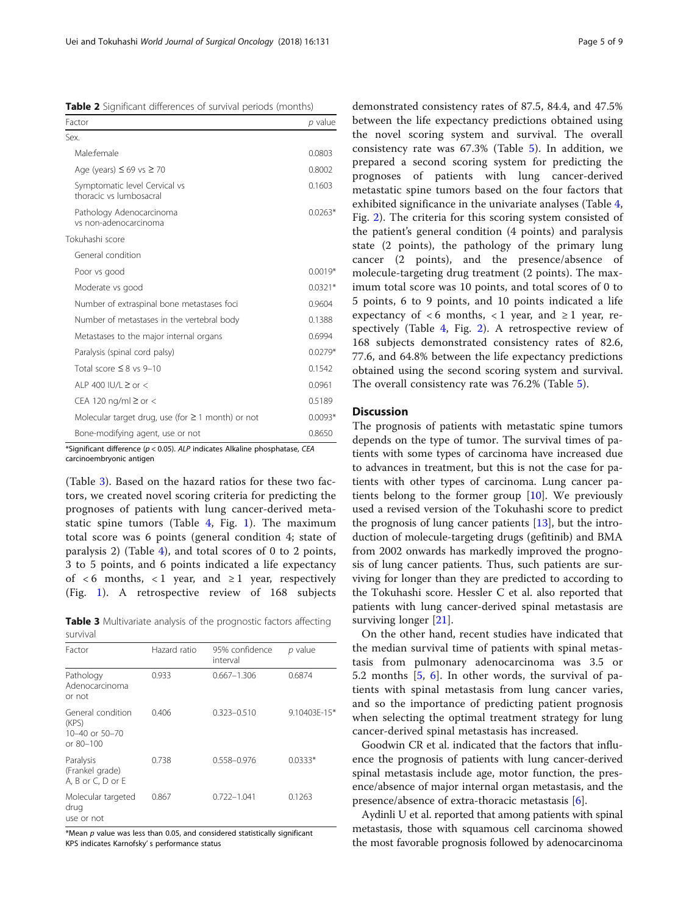<span id="page-4-0"></span>Table 2 Significant differences of survival periods (months)

| Factor                                                   | p value   |
|----------------------------------------------------------|-----------|
| Sex.                                                     |           |
| Male female                                              | 0.0803    |
| Age (years) $\leq$ 69 vs $\geq$ 70                       | 0.8002    |
| Symptomatic level Cervical vs<br>thoracic vs lumbosacral | 0.1603    |
| Pathology Adenocarcinoma<br>vs non-adenocarcinoma        | $0.0263*$ |
| Tokuhashi score                                          |           |
| General condition                                        |           |
| Poor vs good                                             | $0.0019*$ |
| Moderate vs good                                         | $0.0321*$ |
| Number of extraspinal bone metastases foci               | 0.9604    |
| Number of metastases in the vertebral body               | 0.1388    |
| Metastases to the major internal organs                  | 0.6994    |
| Paralysis (spinal cord palsy)                            | $0.0279*$ |
| Total score $\leq$ 8 vs 9-10                             | 0.1542    |
| ALP 400 IU/L $\geq$ or $<$                               | 0.0961    |
| CEA 120 ng/ml $\geq$ or $<$                              | 0.5189    |
| Molecular target drug, use (for $\geq$ 1 month) or not   | $0.0093*$ |
| Bone-modifying agent, use or not                         | 0.8650    |

\*Significant difference ( $p < 0.05$ ). ALP indicates Alkaline phosphatase, CEA carcinoembryonic antigen

(Table 3). Based on the hazard ratios for these two factors, we created novel scoring criteria for predicting the prognoses of patients with lung cancer-derived metastatic spine tumors (Table [4,](#page-5-0) Fig. [1\)](#page-5-0). The maximum total score was 6 points (general condition 4; state of paralysis 2) (Table [4](#page-5-0)), and total scores of 0 to 2 points, 3 to 5 points, and 6 points indicated a life expectancy of  $\lt 6$  months,  $\lt 1$  year, and  $\geq 1$  year, respectively (Fig. [1\)](#page-5-0). A retrospective review of 168 subjects

Table 3 Multivariate analysis of the prognostic factors affecting survival

| Factor                                                                | Hazard ratio | 95% confidence<br>interval | p value      |
|-----------------------------------------------------------------------|--------------|----------------------------|--------------|
| Pathology<br>Adenocarcinoma<br>or not                                 | 0.933        | $0.667 - 1.306$            | 0.6874       |
| General condition<br>(KPS)<br>$10 - 40$ or $50 - 70$<br>or $80 - 100$ | 0.406        | $0.323 - 0.510$            | 9.10403E-15* |
| Paralysis<br>(Frankel grade)<br>A, B or C, D or E                     | 0.738        | 0.558-0.976                | $0.0333*$    |
| Molecular targeted<br>drug<br>use or not                              | 0.867        | $0.722 - 1.041$            | 0.1263       |

 $*$ Mean  $p$  value was less than 0.05, and considered statistically significant KPS indicates Karnofsky' s performance status

demonstrated consistency rates of 87.5, 84.4, and 47.5% between the life expectancy predictions obtained using the novel scoring system and survival. The overall consistency rate was 67.3% (Table [5](#page-6-0)). In addition, we prepared a second scoring system for predicting the prognoses of patients with lung cancer-derived metastatic spine tumors based on the four factors that exhibited significance in the univariate analyses (Table [4](#page-5-0), Fig. [2\)](#page-7-0). The criteria for this scoring system consisted of the patient's general condition (4 points) and paralysis state (2 points), the pathology of the primary lung cancer (2 points), and the presence/absence of molecule-targeting drug treatment (2 points). The maximum total score was 10 points, and total scores of 0 to 5 points, 6 to 9 points, and 10 points indicated a life expectancy of <6 months, <1 year, and  $\geq$  1 year, respectively (Table [4,](#page-5-0) Fig. [2\)](#page-7-0). A retrospective review of 168 subjects demonstrated consistency rates of 82.6, 77.6, and 64.8% between the life expectancy predictions obtained using the second scoring system and survival. The overall consistency rate was 76.2% (Table [5\)](#page-6-0).

#### **Discussion**

The prognosis of patients with metastatic spine tumors depends on the type of tumor. The survival times of patients with some types of carcinoma have increased due to advances in treatment, but this is not the case for patients with other types of carcinoma. Lung cancer patients belong to the former group  $[10]$  $[10]$ . We previously used a revised version of the Tokuhashi score to predict the prognosis of lung cancer patients [[13\]](#page-7-0), but the introduction of molecule-targeting drugs (gefitinib) and BMA from 2002 onwards has markedly improved the prognosis of lung cancer patients. Thus, such patients are surviving for longer than they are predicted to according to the Tokuhashi score. Hessler C et al. also reported that patients with lung cancer-derived spinal metastasis are surviving longer [[21\]](#page-8-0).

On the other hand, recent studies have indicated that the median survival time of patients with spinal metastasis from pulmonary adenocarcinoma was 3.5 or 5.2 months  $[5, 6]$  $[5, 6]$  $[5, 6]$  $[5, 6]$ . In other words, the survival of patients with spinal metastasis from lung cancer varies, and so the importance of predicting patient prognosis when selecting the optimal treatment strategy for lung cancer-derived spinal metastasis has increased.

Goodwin CR et al. indicated that the factors that influence the prognosis of patients with lung cancer-derived spinal metastasis include age, motor function, the presence/absence of major internal organ metastasis, and the presence/absence of extra-thoracic metastasis [[6\]](#page-7-0).

Aydinli U et al. reported that among patients with spinal metastasis, those with squamous cell carcinoma showed the most favorable prognosis followed by adenocarcinoma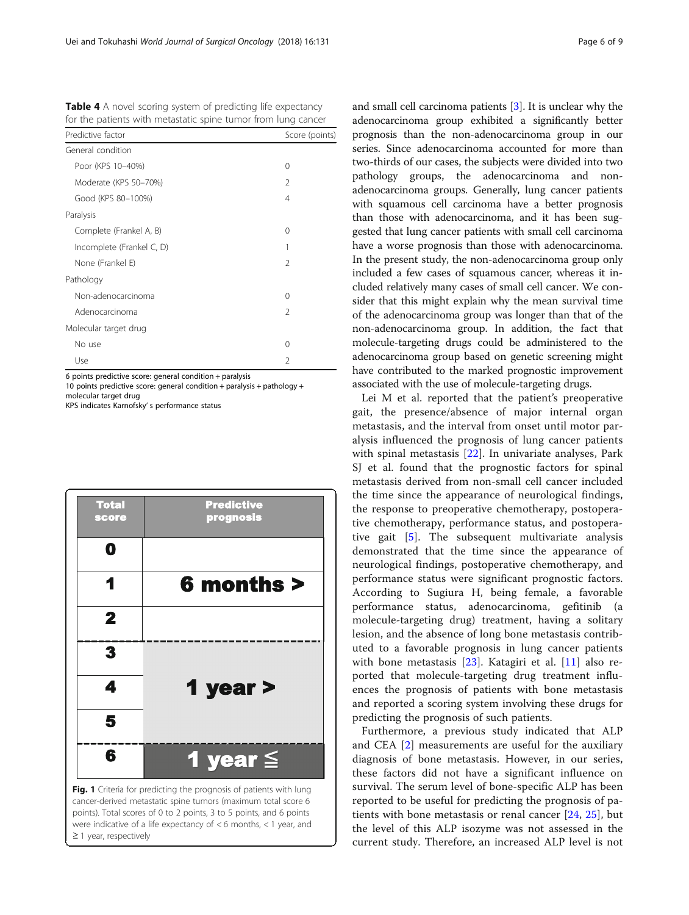<span id="page-5-0"></span>Table 4 A novel scoring system of predicting life expectancy for the patients with metastatic spine tumor from lung cancer

| Predictive factor         | Score (points) |  |
|---------------------------|----------------|--|
| General condition         |                |  |
| Poor (KPS 10-40%)         | 0              |  |
| Moderate (KPS 50-70%)     | 2              |  |
| Good (KPS 80-100%)        | 4              |  |
| Paralysis                 |                |  |
| Complete (Frankel A, B)   | 0              |  |
| Incomplete (Frankel C, D) | 1              |  |
| None (Frankel E)          | $\overline{2}$ |  |
| Pathology                 |                |  |
| Non-adenocarcinoma        | 0              |  |
| Adenocarcinoma            | $\mathfrak{D}$ |  |
| Molecular target drug     |                |  |
| No use                    | 0              |  |
| Use                       | $\mathfrak{D}$ |  |

6 points predictive score: general condition + paralysis

10 points predictive score: general condition + paralysis + pathology + molecular target drug

KPS indicates Karnofsky' s performance status

≥ 1 year, respectively

| <b>Total</b><br>score | <b>Predictive</b><br>prognosis                                                                                                                                                                                                                                                      |
|-----------------------|-------------------------------------------------------------------------------------------------------------------------------------------------------------------------------------------------------------------------------------------------------------------------------------|
| O                     |                                                                                                                                                                                                                                                                                     |
|                       | 6 months >                                                                                                                                                                                                                                                                          |
| 2                     |                                                                                                                                                                                                                                                                                     |
| 3                     |                                                                                                                                                                                                                                                                                     |
| 4                     | 1 year >                                                                                                                                                                                                                                                                            |
| 5                     |                                                                                                                                                                                                                                                                                     |
| 6                     | 1 year $\leq$                                                                                                                                                                                                                                                                       |
|                       | Fig. 1 Criteria for predicting the prognosis of patients with lung<br>cancer-derived metastatic spine tumors (maximum total score 6<br>points). Total scores of 0 to 2 points, 3 to 5 points, and 6 points<br>were indicative of a life expectancy of $<$ 6 months, $<$ 1 year, and |

and small cell carcinoma patients [\[3\]](#page-7-0). It is unclear why the adenocarcinoma group exhibited a significantly better prognosis than the non-adenocarcinoma group in our series. Since adenocarcinoma accounted for more than two-thirds of our cases, the subjects were divided into two pathology groups, the adenocarcinoma and nonadenocarcinoma groups. Generally, lung cancer patients with squamous cell carcinoma have a better prognosis than those with adenocarcinoma, and it has been suggested that lung cancer patients with small cell carcinoma have a worse prognosis than those with adenocarcinoma. In the present study, the non-adenocarcinoma group only included a few cases of squamous cancer, whereas it included relatively many cases of small cell cancer. We consider that this might explain why the mean survival time of the adenocarcinoma group was longer than that of the non-adenocarcinoma group. In addition, the fact that molecule-targeting drugs could be administered to the adenocarcinoma group based on genetic screening might have contributed to the marked prognostic improvement associated with the use of molecule-targeting drugs.

Lei M et al. reported that the patient's preoperative gait, the presence/absence of major internal organ metastasis, and the interval from onset until motor paralysis influenced the prognosis of lung cancer patients with spinal metastasis [[22\]](#page-8-0). In univariate analyses, Park SJ et al. found that the prognostic factors for spinal metastasis derived from non-small cell cancer included the time since the appearance of neurological findings, the response to preoperative chemotherapy, postoperative chemotherapy, performance status, and postoperative gait [\[5](#page-7-0)]. The subsequent multivariate analysis demonstrated that the time since the appearance of neurological findings, postoperative chemotherapy, and performance status were significant prognostic factors. According to Sugiura H, being female, a favorable performance status, adenocarcinoma, gefitinib (a molecule-targeting drug) treatment, having a solitary lesion, and the absence of long bone metastasis contributed to a favorable prognosis in lung cancer patients with bone metastasis [\[23](#page-8-0)]. Katagiri et al. [[11\]](#page-7-0) also reported that molecule-targeting drug treatment influences the prognosis of patients with bone metastasis and reported a scoring system involving these drugs for predicting the prognosis of such patients.

Furthermore, a previous study indicated that ALP and CEA [\[2](#page-7-0)] measurements are useful for the auxiliary diagnosis of bone metastasis. However, in our series, these factors did not have a significant influence on survival. The serum level of bone-specific ALP has been reported to be useful for predicting the prognosis of patients with bone metastasis or renal cancer [[24,](#page-8-0) [25](#page-8-0)], but the level of this ALP isozyme was not assessed in the current study. Therefore, an increased ALP level is not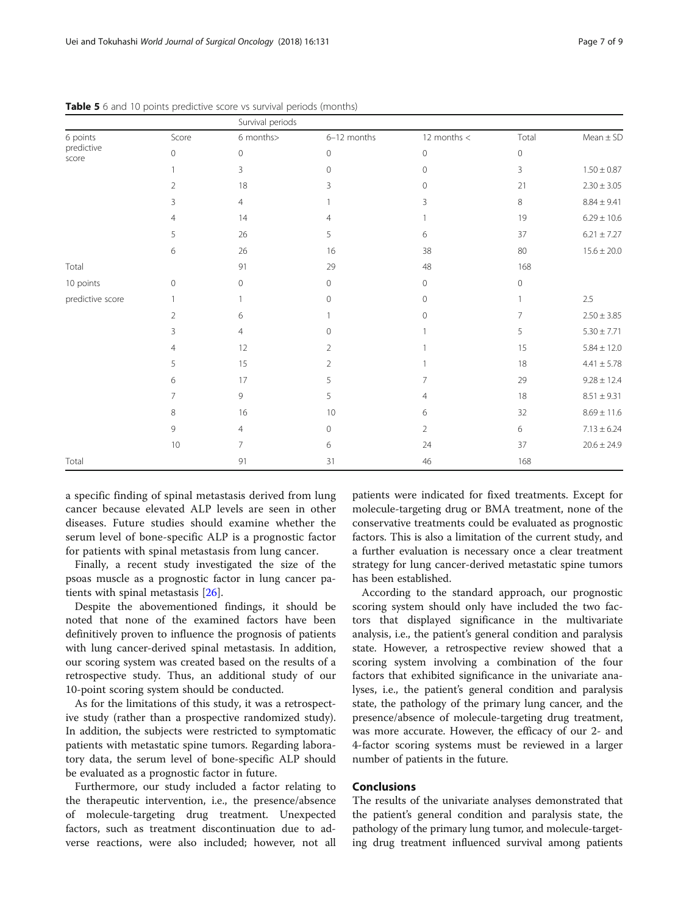| Page 7 | of 9 |  |
|--------|------|--|
|--------|------|--|

|                     |                | Survival periods |                |                |                |                 |
|---------------------|----------------|------------------|----------------|----------------|----------------|-----------------|
| 6 points            | Score          | 6 months>        | 6-12 months    | 12 months $<$  | Total          | $Mean \pm SD$   |
| predictive<br>score | $\mathbf{0}$   | $\mathbf{0}$     | $\mathbf{0}$   | $\circ$        | $\mathbf{0}$   |                 |
|                     |                | 3                | $\mathbf 0$    | $\mathbf 0$    | $\overline{3}$ | $1.50 \pm 0.87$ |
|                     | $\overline{2}$ | 18               | 3              | $\circ$        | 21             | $2.30 \pm 3.05$ |
|                     | 3              | $\overline{4}$   |                | 3              | 8              | $8.84 \pm 9.41$ |
|                     | $\overline{4}$ | 14               | $\overline{4}$ | 1              | 19             | $6.29 \pm 10.6$ |
|                     | 5              | 26               | 5              | 6              | 37             | $6.21 \pm 7.27$ |
|                     | 6              | 26               | 16             | 38             | 80             | $15.6 \pm 20.0$ |
| Total               |                | 91               | 29             | 48             | 168            |                 |
| 10 points           | $\circ$        | $\overline{0}$   | $\overline{0}$ | $\mathbf 0$    | 0              |                 |
| predictive score    | $\mathbf{1}$   |                  | $\mathbf 0$    | $\circ$        | 1              | 2.5             |
|                     | $\overline{2}$ | 6                |                | $\circ$        | 7              | $2.50 \pm 3.85$ |
|                     | 3              | $\overline{4}$   | $\mathbf 0$    | 1              | 5              | $5.30\pm7.71$   |
|                     | $\overline{4}$ | 12               | $\overline{2}$ |                | 15             | $5.84 \pm 12.0$ |
|                     | 5              | 15               | $\overline{2}$ |                | 18             | $4.41 \pm 5.78$ |
|                     | 6              | 17               | 5              | 7              | 29             | $9.28 \pm 12.4$ |
|                     | $\overline{7}$ | 9                | 5              | 4              | 18             | $8.51 \pm 9.31$ |
|                     | 8              | 16               | 10             | 6              | 32             | $8.69 \pm 11.6$ |
|                     | 9              | $\overline{4}$   | $\mathbf{0}$   | $\overline{2}$ | 6              | $7.13 \pm 6.24$ |
|                     | 10             | $\overline{7}$   | 6              | 24             | 37             | $20.6 \pm 24.9$ |
| Total               |                | 91               | 31             | 46             | 168            |                 |

<span id="page-6-0"></span>Table 5 6 and 10 points predictive score vs survival periods (months)

a specific finding of spinal metastasis derived from lung cancer because elevated ALP levels are seen in other diseases. Future studies should examine whether the serum level of bone-specific ALP is a prognostic factor for patients with spinal metastasis from lung cancer.

Finally, a recent study investigated the size of the psoas muscle as a prognostic factor in lung cancer patients with spinal metastasis [[26\]](#page-8-0).

Despite the abovementioned findings, it should be noted that none of the examined factors have been definitively proven to influence the prognosis of patients with lung cancer-derived spinal metastasis. In addition, our scoring system was created based on the results of a retrospective study. Thus, an additional study of our 10-point scoring system should be conducted.

As for the limitations of this study, it was a retrospective study (rather than a prospective randomized study). In addition, the subjects were restricted to symptomatic patients with metastatic spine tumors. Regarding laboratory data, the serum level of bone-specific ALP should be evaluated as a prognostic factor in future.

Furthermore, our study included a factor relating to the therapeutic intervention, i.e., the presence/absence of molecule-targeting drug treatment. Unexpected factors, such as treatment discontinuation due to adverse reactions, were also included; however, not all

patients were indicated for fixed treatments. Except for molecule-targeting drug or BMA treatment, none of the conservative treatments could be evaluated as prognostic factors. This is also a limitation of the current study, and a further evaluation is necessary once a clear treatment strategy for lung cancer-derived metastatic spine tumors has been established.

According to the standard approach, our prognostic scoring system should only have included the two factors that displayed significance in the multivariate analysis, i.e., the patient's general condition and paralysis state. However, a retrospective review showed that a scoring system involving a combination of the four factors that exhibited significance in the univariate analyses, i.e., the patient's general condition and paralysis state, the pathology of the primary lung cancer, and the presence/absence of molecule-targeting drug treatment, was more accurate. However, the efficacy of our 2- and 4-factor scoring systems must be reviewed in a larger number of patients in the future.

#### **Conclusions**

The results of the univariate analyses demonstrated that the patient's general condition and paralysis state, the pathology of the primary lung tumor, and molecule-targeting drug treatment influenced survival among patients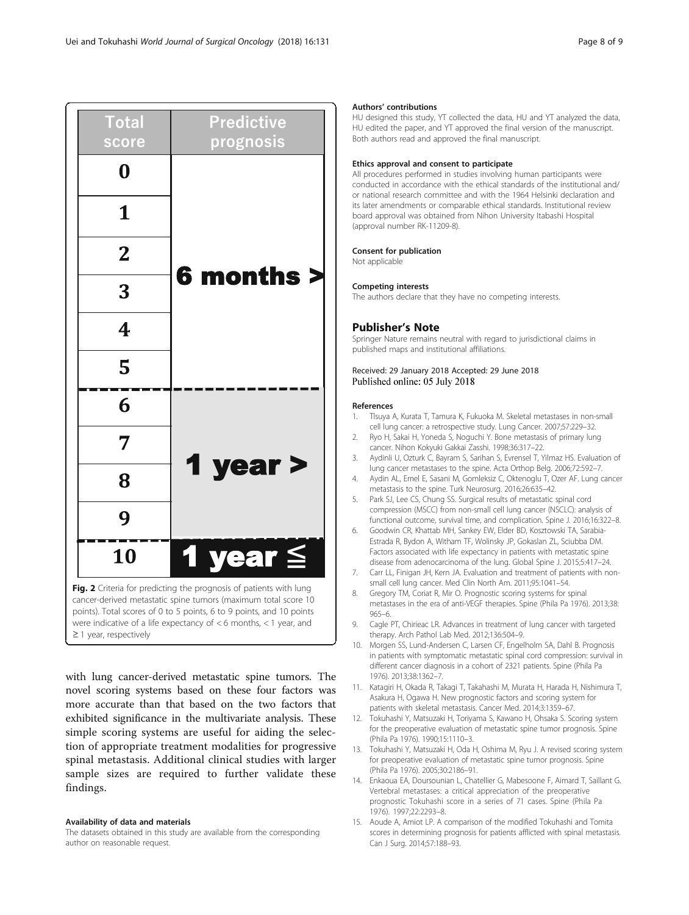<span id="page-7-0"></span>

with lung cancer-derived metastatic spine tumors. The novel scoring systems based on these four factors was more accurate than that based on the two factors that exhibited significance in the multivariate analysis. These simple scoring systems are useful for aiding the selection of appropriate treatment modalities for progressive spinal metastasis. Additional clinical studies with larger sample sizes are required to further validate these findings.

#### Availability of data and materials

The datasets obtained in this study are available from the corresponding author on reasonable request.

#### Authors' contributions

HU designed this study, YT collected the data, HU and YT analyzed the data, HU edited the paper, and YT approved the final version of the manuscript. Both authors read and approved the final manuscript.

#### Ethics approval and consent to participate

All procedures performed in studies involving human participants were conducted in accordance with the ethical standards of the institutional and/ or national research committee and with the 1964 Helsinki declaration and its later amendments or comparable ethical standards. Institutional review board approval was obtained from Nihon University Itabashi Hospital (approval number RK-11209-8).

#### Consent for publication

Not applicable

#### Competing interests

The authors declare that they have no competing interests.

#### Publisher's Note

Springer Nature remains neutral with regard to jurisdictional claims in published maps and institutional affiliations.

#### Received: 29 January 2018 Accepted: 29 June 2018 Published online: 05 July 2018

#### References

- 1. Tlsuya A, Kurata T, Tamura K, Fukuoka M. Skeletal metastases in non-small cell lung cancer: a retrospective study. Lung Cancer. 2007;57:229–32.
- 2. Ryo H, Sakai H, Yoneda S, Noguchi Y. Bone metastasis of primary lung cancer. Nihon Kokyuki Gakkai Zasshi. 1998;36:317–22.
- 3. Aydinli U, Ozturk C, Bayram S, Sarihan S, Evrensel T, Yilmaz HS. Evaluation of lung cancer metastases to the spine. Acta Orthop Belg. 2006;72:592–7.
- 4. Aydin AL, Emel E, Sasani M, Gomleksiz C, Oktenoglu T, Ozer AF. Lung cancer metastasis to the spine. Turk Neurosurg. 2016;26:635–42.
- 5. Park SJ, Lee CS, Chung SS. Surgical results of metastatic spinal cord compression (MSCC) from non-small cell lung cancer (NSCLC): analysis of functional outcome, survival time, and complication. Spine J. 2016;16:322–8.
- 6. Goodwin CR, Khattab MH, Sankey EW, Elder BD, Kosztowski TA, Sarabia-Estrada R, Bydon A, Witham TF, Wolinsky JP, Gokaslan ZL, Sciubba DM. Factors associated with life expectancy in patients with metastatic spine disease from adenocarcinoma of the lung. Global Spine J. 2015;5:417–24.
- 7. Carr LL, Finigan JH, Kern JA. Evaluation and treatment of patients with nonsmall cell lung cancer. Med Clin North Am. 2011;95:1041–54.
- 8. Gregory TM, Coriat R, Mir O. Prognostic scoring systems for spinal metastases in the era of anti-VEGF therapies. Spine (Phila Pa 1976). 2013;38: 965–6.
- 9. Cagle PT, Chirieac LR. Advances in treatment of lung cancer with targeted therapy. Arch Pathol Lab Med. 2012;136:504–9.
- 10. Morgen SS, Lund-Andersen C, Larsen CF, Engelholm SA, Dahl B. Prognosis in patients with symptomatic metastatic spinal cord compression: survival in different cancer diagnosis in a cohort of 2321 patients. Spine (Phila Pa 1976). 2013;38:1362–7.
- 11. Katagiri H, Okada R, Takagi T, Takahashi M, Murata H, Harada H, Nishimura T, Asakura H, Ogawa H. New prognostic factors and scoring system for patients with skeletal metastasis. Cancer Med. 2014;3:1359–67.
- 12. Tokuhashi Y, Matsuzaki H, Toriyama S, Kawano H, Ohsaka S. Scoring system for the preoperative evaluation of metastatic spine tumor prognosis. Spine (Phila Pa 1976). 1990;15:1110–3.
- 13. Tokuhashi Y, Matsuzaki H, Oda H, Oshima M, Ryu J. A revised scoring system for preoperative evaluation of metastatic spine tumor prognosis. Spine (Phila Pa 1976). 2005;30:2186–91.
- 14. Enkaoua EA, Doursounian L, Chatellier G, Mabesoone F, Aimard T, Saillant G. Vertebral metastases: a critical appreciation of the preoperative prognostic Tokuhashi score in a series of 71 cases. Spine (Phila Pa 1976). 1997;22:2293–8.
- 15. Aoude A, Amiot LP. A comparison of the modified Tokuhashi and Tomita scores in determining prognosis for patients afflicted with spinal metastasis. Can J Surg. 2014;57:188–93.